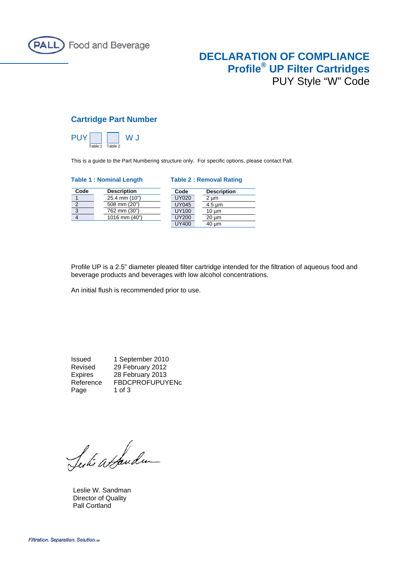

# **DECLARATION OF COMPLIANCE Profile® UP Filter Cartridges** PUY Style "W" Code

## **Cartridge Part Number**



This is a guide to the Part Numbering structure only. For specific options, please contact Pall.

#### **Table 1 : Nominal Length Table 2 : Removal Rating**

**Description**  $2 \mu m$  $4.5 \mu m$  $10 \mu m$  $20 \mu m$ 

| Code | <b>Description</b> | Code         | Descri                   |
|------|--------------------|--------------|--------------------------|
|      | 25.4 mm (10")      | <b>UY020</b> | 2 um                     |
| 2    | 508 mm (20")       | <b>UY045</b> | $4.5 \,\mathrm{\upmu m}$ |
| 3    | 762 mm (30")       | UY100        | $10 \mu m$               |
|      | 1016 mm (40")      | <b>UY200</b> | $20 \mu m$               |
|      |                    | <b>UY400</b> | 40 um                    |

Profile UP is a 2.5" diameter pleated filter cartridge intended for the filtration of aqueous food and beverage products and beverages with low alcohol concentrations.

An initial flush is recommended prior to use.

Issued 1 September 2010 Revised 29 February 2012 Expires 28 February 2013 Reference FBDCPROFUPUYENc Page 1 of 3

Serki attandum

 Leslie W. Sandman Director of Quality Pall Cortland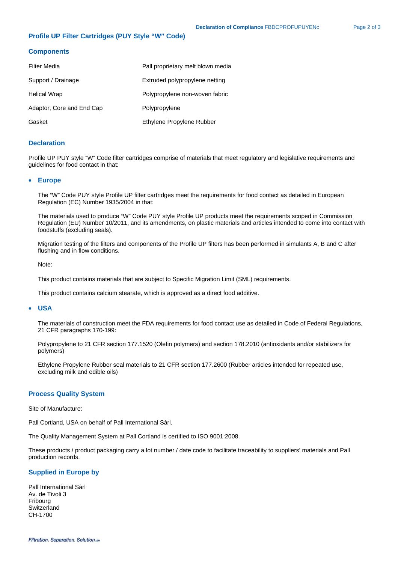### **Profile UP Filter Cartridges (PUY Style "W" Code)**

#### **Components**

| Filter Media              | Pall proprietary melt blown media |  |
|---------------------------|-----------------------------------|--|
| Support / Drainage        | Extruded polypropylene netting    |  |
| Helical Wrap              | Polypropylene non-woven fabric    |  |
| Adaptor, Core and End Cap | Polypropylene                     |  |
| Gasket                    | Ethylene Propylene Rubber         |  |

### **Declaration**

Profile UP PUY style "W" Code filter cartridges comprise of materials that meet regulatory and legislative requirements and guidelines for food contact in that:

#### • **Europe**

The "W" Code PUY style Profile UP filter cartridges meet the requirements for food contact as detailed in European Regulation (EC) Number 1935/2004 in that:

The materials used to produce "W" Code PUY style Profile UP products meet the requirements scoped in Commission Regulation (EU) Number 10/2011, and its amendments, on plastic materials and articles intended to come into contact with foodstuffs (excluding seals).

Migration testing of the filters and components of the Profile UP filters has been performed in simulants A, B and C after flushing and in flow conditions.

Note:

This product contains materials that are subject to Specific Migration Limit (SML) requirements.

This product contains calcium stearate, which is approved as a direct food additive.

#### • **USA**

The materials of construction meet the FDA requirements for food contact use as detailed in Code of Federal Regulations, 21 CFR paragraphs 170-199:

Polypropylene to 21 CFR section 177.1520 (Olefin polymers) and section 178.2010 (antioxidants and/or stabilizers for polymers)

Ethylene Propylene Rubber seal materials to 21 CFR section 177.2600 (Rubber articles intended for repeated use, excluding milk and edible oils)

#### **Process Quality System**

Site of Manufacture:

Pall Cortland, USA on behalf of Pall International Sàrl.

The Quality Management System at Pall Cortland is certified to ISO 9001:2008.

These products / product packaging carry a lot number / date code to facilitate traceability to suppliers' materials and Pall production records.

#### **Supplied in Europe by**

Pall International Sàrl Av. de Tivoli 3 Fribourg **Switzerland** CH-1700